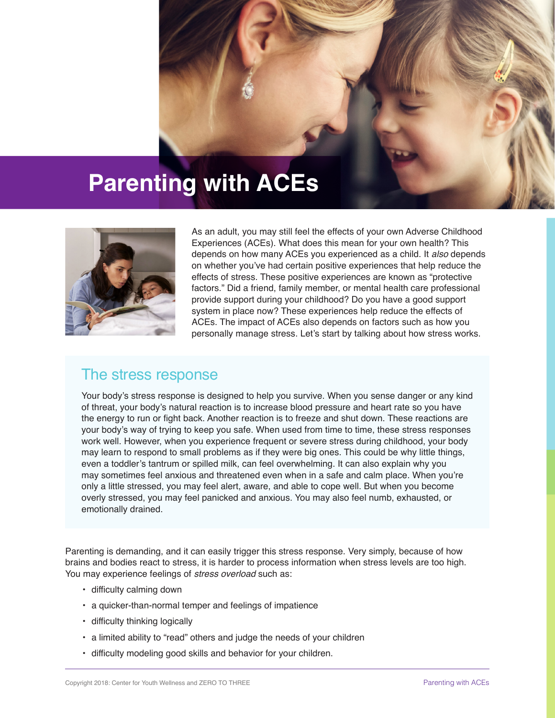# **Parenting with ACEs**



As an adult, you may still feel the effects of your own Adverse Childhood Experiences (ACEs). What does this mean for your own health? This depends on how many ACEs you experienced as a child. It *also* depends on whether you've had certain positive experiences that help reduce the effects of stress. These positive experiences are known as "protective factors." Did a friend, family member, or mental health care professional provide support during your childhood? Do you have a good support system in place now? These experiences help reduce the effects of ACEs. The impact of ACEs also depends on factors such as how you personally manage stress. Let's start by talking about how stress works.

### The stress response

Your body's stress response is designed to help you survive. When you sense danger or any kind of threat, your body's natural reaction is to increase blood pressure and heart rate so you have the energy to run or fight back. Another reaction is to freeze and shut down. These reactions are your body's way of trying to keep you safe. When used from time to time, these stress responses work well. However, when you experience frequent or severe stress during childhood, your body may learn to respond to small problems as if they were big ones. This could be why little things, even a toddler's tantrum or spilled milk, can feel overwhelming. It can also explain why you may sometimes feel anxious and threatened even when in a safe and calm place. When you're only a little stressed, you may feel alert, aware, and able to cope well. But when you become overly stressed, you may feel panicked and anxious. You may also feel numb, exhausted, or emotionally drained.

Parenting is demanding, and it can easily trigger this stress response. Very simply, because of how brains and bodies react to stress, it is harder to process information when stress levels are too high. You may experience feelings of *stress overload* such as:

- difficulty calming down
- a quicker-than-normal temper and feelings of impatience
- difficulty thinking logically
- a limited ability to "read" others and judge the needs of your children
- difficulty modeling good skills and behavior for your children.